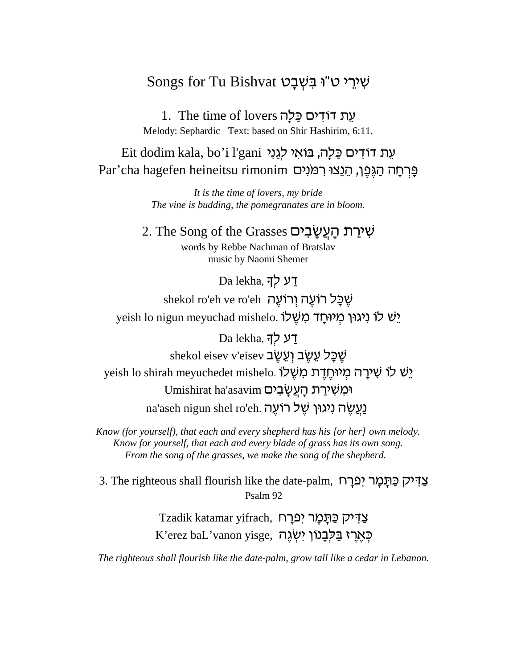## Songs for Tu Bishvat שָׁיְרֵי ט"וּ בַּשָּׁבַט

1. The time of lovers עת דודים כַּלַה Melody: Sephardic Text: based on Shir Hashirim. 6:11.

Eit dodim kala, bo'i l'gani עת דודים כַּלַה, בּוֹאִי לִגְנִי פְּרְחָה הַגֶּפֶן, הֵנֵצוּ רִמּנִים Par'cha hagefen heineitsu rimonim

> It is the time of lovers, my bride The vine is budding, the pomegranates are in bloom.

2. The Song of the Grasses שִׁירַת הַעֲשֲבִים words by Rebbe Nachman of Bratslav music by Naomi Shemer

Da lekha, דע לך

shekol ro'eh ve ro'eh יָשֻׁכָּל רוֹעֵה וְרוֹעֵה yeish lo nigun meyuchad mishelo. יש לו ניגון מיוחד משלו

Da lekha, דע לד shekol eisev v'eisev עֵׁיֲב וְעֵשֶׁב shekol yeish lo shirah meyuchedet mishelo. יָשׁ לוֹ שִׁירַה מְיוּחֵדֶת מְשָׁלוֹ Umishirat ha'asavim ומשירת העשבים na'aseh nigun shel ro'eh. נַעֲשֶׂה נִיגוּן שֵׁל רוֹעֶה

Know (for yourself), that each and every shepherd has his [or her] own melody. Know for yourself, that each and every blade of grass has its own song. From the song of the grasses, we make the song of the shepherd.

צַדִּיק כַּתְמָר יִפְרָח S. The righteous shall flourish like the date-palm, צַדִּיק כַּתְמָר יִ Psalm 92

> Tzadik katamar yifrach, פְתַמַר יִפְרַח E'erez baL'vanon yisge, רְאֵרָז בַּלְבָנוֹן יִשְׂגֶה

The righteous shall flourish like the date-palm, grow tall like a cedar in Lebanon.